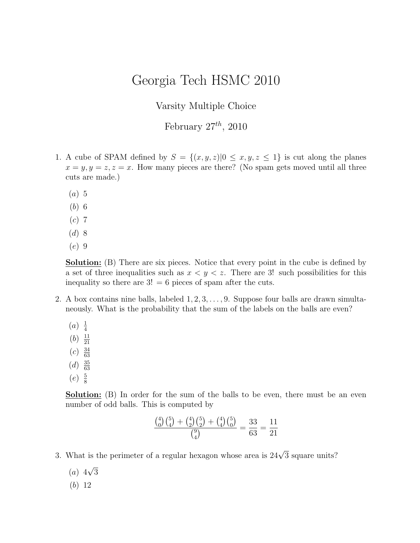## Georgia Tech HSMC 2010

## Varsity Multiple Choice

## February  $27^{th}$ , 2010

- 1. A cube of SPAM defined by  $S = \{(x, y, z)|0 \le x, y, z \le 1\}$  is cut along the planes  $x = y, y = z, z = x$ . How many pieces are there? (No spam gets moved until all three cuts are made.)
	- $(a)$  5
	- (b) 6
	- $(c)$  7
	- $(d) 8$
	- (e) 9

Solution: (B) There are six pieces. Notice that every point in the cube is defined by a set of three inequalities such as  $x < y < z$ . There are 3! such possibilities for this inequality so there are  $3! = 6$  pieces of spam after the cuts.

- 2. A box contains nine balls, labeled  $1, 2, 3, \ldots, 9$ . Suppose four balls are drawn simultaneously. What is the probability that the sum of the labels on the balls are even?
	- $(a) \frac{1}{4}$ 4  $(b) \frac{11}{21}$ 21  $(c) \frac{34}{63}$ 63
	- $(d) \frac{35}{63}$
	- 63  $(e) \frac{5}{8}$

8

Solution: (B) In order for the sum of the balls to be even, there must be an even number of odd balls. This is computed by

$$
\frac{\binom{4}{0}\binom{5}{4} + \binom{4}{2}\binom{5}{2} + \binom{4}{4}\binom{5}{0}}{\binom{9}{4}} = \frac{33}{63} = \frac{11}{21}
$$

- 3. What is the perimeter of a regular hexagon whose area is  $24\sqrt{3}$  square units?
	- $(a)$  4 √ 3
	- (b) 12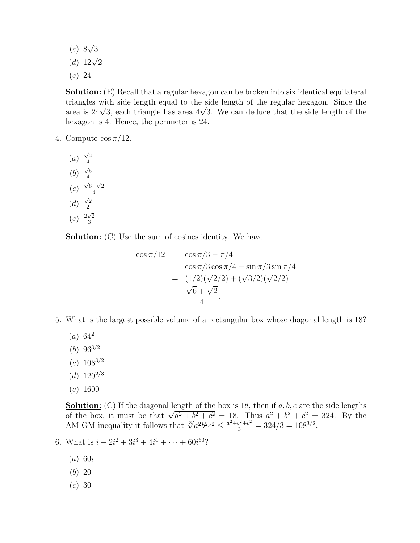$(c)$  8 √ 3

- (d)  $12\sqrt{2}$
- (e) 24

Solution: (E) Recall that a regular hexagon can be broken into six identical equilateral triangles with side length equal to the side length of the regular hexagon. Since the triangles with side length equal to the side length of the regular nexagon. Since the<br>area is 24√3, each triangle has area 4√3. We can deduce that the side length of the hexagon is 4. Hence, the perimeter is 24.

- 4. Compute  $\cos \pi/12$ .
	- (a)  $\sqrt{2}$ 4 (b) √ 5 4  $(c)$  $\sqrt{6}+\sqrt{2}$ 4 (d)  $\sqrt{2}$ 2  $(e) \frac{2\sqrt{2}}{2}$ 3

**Solution:** (C) Use the sum of cosines identity. We have

$$
\cos \pi/12 = \cos \pi/3 - \pi/4
$$
  
=  $\cos \pi/3 \cos \pi/4 + \sin \pi/3 \sin \pi/4$   
=  $(1/2)(\sqrt{2}/2) + (\sqrt{3}/2)(\sqrt{2}/2)$   
=  $\frac{\sqrt{6} + \sqrt{2}}{4}$ .

- 5. What is the largest possible volume of a rectangular box whose diagonal length is 18?
	- $(a) 64^2$
	- $(b) 96^{3/2}$
	- $(c) 108^{3/2}$
	- $(d)$  120<sup>2/3</sup>
	- $(e)$  1600

**Solution:** (C) If the diagonal length of the box is 18, then if  $a, b, c$  are the side lengths **Solution:** (C) If the diagonal length of the box is 18, then if a, b, c are the side lengths of the box, it must be that  $\sqrt{a^2 + b^2 + c^2} = 18$ . Thus  $a^2 + b^2 + c^2 = 324$ . By the AM-GM inequality it follows that  $\sqrt[3]{a^2b^$ 

- 6. What is  $i + 2i^2 + 3i^3 + 4i^4 + \cdots + 60i^{60}$ ?
	- $(a)$  60i
	- (b) 20
	- $(c) 30$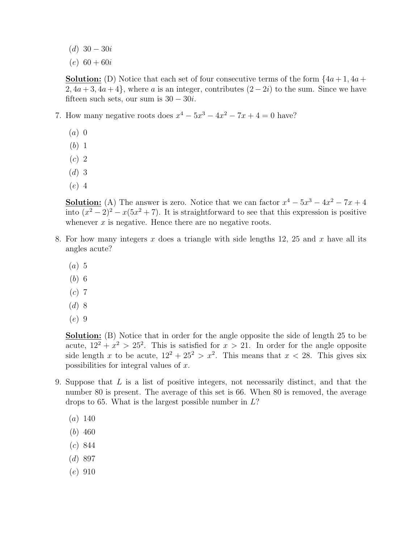- (d)  $30 30i$
- $(e)$  60 + 60*i*

**Solution:** (D) Notice that each set of four consecutive terms of the form  $\{4a+1, 4a+\}$  $2, 4a + 3, 4a + 4$ , where a is an integer, contributes  $(2 - 2i)$  to the sum. Since we have fifteen such sets, our sum is  $30 - 30i$ .

- 7. How many negative roots does  $x^4 5x^3 4x^2 7x + 4 = 0$  have?
	- $(a)$  0
	- (b) 1
	- (c) 2
	- $(d)$  3
	- (e) 4

**Solution:** (A) The answer is zero. Notice that we can factor  $x^4 - 5x^3 - 4x^2 - 7x + 4$ into  $(x^2 - 2)^2 - x(5x^2 + 7)$ . It is straightforward to see that this expression is positive whenever  $x$  is negative. Hence there are no negative roots.

- 8. For how many integers x does a triangle with side lengths  $12$ ,  $25$  and x have all its angles acute?
	- $(a)$  5
	- (b) 6
	- $(c)$  7
	- $(d)$  8
	- (e) 9

Solution: (B) Notice that in order for the angle opposite the side of length 25 to be acute,  $12^2 + x^2 > 25^2$ . This is satisfied for  $x > 21$ . In order for the angle opposite side length x to be acute,  $12^2 + 25^2 > x^2$ . This means that  $x < 28$ . This gives six possibilities for integral values of x.

- 9. Suppose that L is a list of positive integers, not necessarily distinct, and that the number 80 is present. The average of this set is 66. When 80 is removed, the average drops to 65. What is the largest possible number in  $L$ ?
	- $(a) 140$
	- (b) 460
	- (c) 844
	- $(d)$  897
	- (e) 910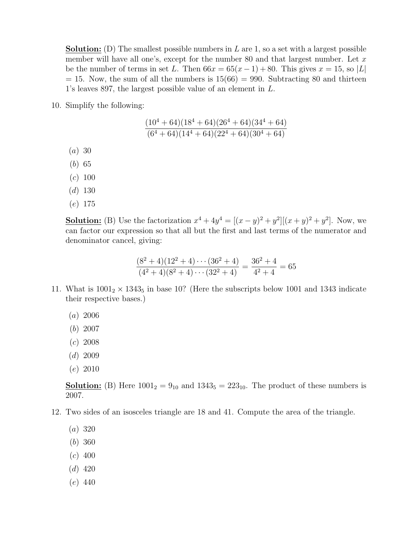**Solution:** (D) The smallest possible numbers in  $L$  are 1, so a set with a largest possible member will have all one's, except for the number 80 and that largest number. Let  $x$ be the number of terms in set L. Then  $66x = 65(x-1) + 80$ . This gives  $x = 15$ , so |L|  $= 15$ . Now, the sum of all the numbers is  $15(66) = 990$ . Subtracting 80 and thirteen 1's leaves 897, the largest possible value of an element in L.

10. Simplify the following:

$$
\frac{(10^4+64)(18^4+64)(26^4+64)(34^4+64)}{(6^4+64)(14^4+64)(22^4+64)(30^4+64)}
$$

- (a) 30
- (b) 65
- $(c) 100$
- $(d)$  130
- (e) 175

**Solution:** (B) Use the factorization  $x^4 + 4y^4 = [(x - y)^2 + y^2][(x + y)^2 + y^2]$ . Now, we can factor our expression so that all but the first and last terms of the numerator and denominator cancel, giving:

$$
\frac{(8^2+4)(12^2+4)\cdots(36^2+4)}{(4^2+4)(8^2+4)\cdots(32^2+4)} = \frac{36^2+4}{4^2+4} = 65
$$

- 11. What is  $1001<sub>2</sub> \times 1343<sub>5</sub>$  in base 10? (Here the subscripts below 1001 and 1343 indicate their respective bases.)
	- (a) 2006
	- (b) 2007
	- $(c)$  2008
	- $(d)$  2009
	- (e) 2010

**Solution:** (B) Here  $1001_2 = 9_{10}$  and  $1343_5 = 223_{10}$ . The product of these numbers is 2007.

- 12. Two sides of an isosceles triangle are 18 and 41. Compute the area of the triangle.
	- (a) 320
	- (b) 360
	- $(c)$  400
	- $(d)$  420
	- (e) 440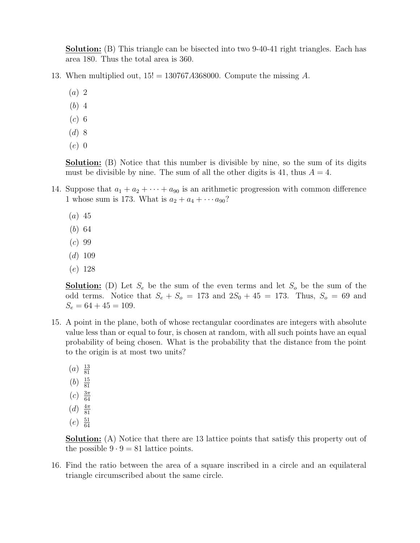**Solution:** (B) This triangle can be bisected into two 9-40-41 right triangles. Each has area 180. Thus the total area is 360.

- 13. When multiplied out,  $15! = 130767A368000$ . Compute the missing A.
	- (a) 2
	- (b) 4
	- $(c)$  6
	- $(d)$  8
	- (e) 0

Solution: (B) Notice that this number is divisible by nine, so the sum of its digits must be divisible by nine. The sum of all the other digits is 41, thus  $A = 4$ .

- 14. Suppose that  $a_1 + a_2 + \cdots + a_{90}$  is an arithmetic progression with common difference 1 whose sum is 173. What is  $a_2 + a_4 + \cdots + a_{90}$ ?
	- $(a)$  45
	- (b) 64
	- $(c) 99$
	- $(d)$  109
	- (e) 128

**Solution:** (D) Let  $S_e$  be the sum of the even terms and let  $S_o$  be the sum of the odd terms. Notice that  $S_e + S_o = 173$  and  $2S_0 + 45 = 173$ . Thus,  $S_o = 69$  and  $S_e = 64 + 45 = 109.$ 

- 15. A point in the plane, both of whose rectangular coordinates are integers with absolute value less than or equal to four, is chosen at random, with all such points have an equal probability of being chosen. What is the probability that the distance from the point to the origin is at most two units?
	- $(a) \frac{13}{81}$ 81
	- $(b) \frac{15}{81}$ 81
	- $(c) \frac{3\pi}{64}$
	- 64
	- $(d) \frac{4\pi}{81}$ 81
	- $(e) \frac{51}{64}$ 64

Solution: (A) Notice that there are 13 lattice points that satisfy this property out of the possible  $9 \cdot 9 = 81$  lattice points.

16. Find the ratio between the area of a square inscribed in a circle and an equilateral triangle circumscribed about the same circle.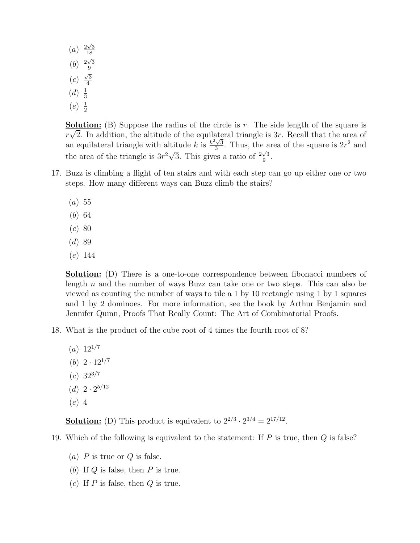$(a) \frac{2\sqrt{3}}{18}$ 18 (*b*)  $\frac{2\sqrt{3}}{9}$ 9  $(c)$  $\sqrt{3}$ 4  $(d) \frac{1}{3}$ 3  $(e)$   $\frac{1}{2}$ 2

**Solution:** (B) Suppose the radius of the circle is r. The side length of the square is  $r\sqrt{2}$ . In addition, the altitude of the equilateral triangle is 3r. Recall that the area of an equilateral triangle with altitude k is  $\frac{k^2\sqrt{3}}{3}$  $\frac{\sqrt{3}}{3}$ . Thus, the area of the square is  $2r^2$  and the area of the triangle is  $3r^2\sqrt{ }$ 3. This gives a ratio of  $\frac{2\sqrt{3}}{9}$  $\frac{\sqrt{3}}{9}$ .

- 17. Buzz is climbing a flight of ten stairs and with each step can go up either one or two steps. How many different ways can Buzz climb the stairs?
	- $(a) 55$
	- (b) 64
	- $(c) 80$
	- $(d)89$
	- (e) 144

**Solution:** (D) There is a one-to-one correspondence between fibonacci numbers of length n and the number of ways Buzz can take one or two steps. This can also be viewed as counting the number of ways to tile a 1 by 10 rectangle using 1 by 1 squares and 1 by 2 dominoes. For more information, see the book by Arthur Benjamin and Jennifer Quinn, Proofs That Really Count: The Art of Combinatorial Proofs.

- 18. What is the product of the cube root of 4 times the fourth root of 8?
	- $(a) 12^{1/7}$
	- (b)  $2 \cdot 12^{1/7}$
	- $(c)$  32<sup>3/7</sup>
	- $(d)$  2 ·  $2^{5/12}$
	- (e) 4

**Solution:** (D) This product is equivalent to  $2^{2/3} \cdot 2^{3/4} = 2^{17/12}$ .

- 19. Which of the following is equivalent to the statement: If  $P$  is true, then  $Q$  is false?
	- (a)  $P$  is true or  $Q$  is false.
	- (b) If  $Q$  is false, then  $P$  is true.
	- (c) If  $P$  is false, then  $Q$  is true.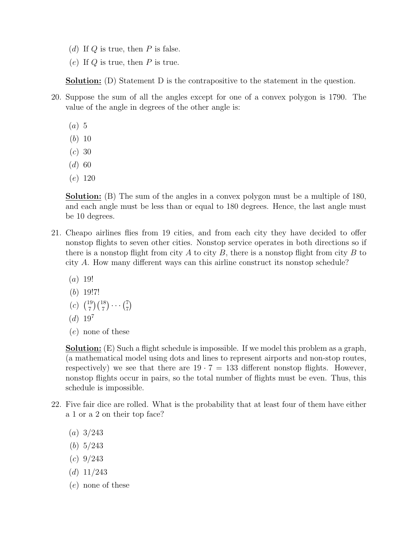- (d) If  $Q$  is true, then  $P$  is false.
- (e) If  $Q$  is true, then  $P$  is true.

Solution: (D) Statement D is the contrapositive to the statement in the question.

- 20. Suppose the sum of all the angles except for one of a convex polygon is 1790. The value of the angle in degrees of the other angle is:
	- $(a) 5$
	- (b) 10
	- $(c) 30$
	- $(d)$  60
	- (e) 120

Solution: (B) The sum of the angles in a convex polygon must be a multiple of 180, and each angle must be less than or equal to 180 degrees. Hence, the last angle must be 10 degrees.

- 21. Cheapo airlines flies from 19 cities, and from each city they have decided to offer nonstop flights to seven other cities. Nonstop service operates in both directions so if there is a nonstop flight from city A to city B, there is a nonstop flight from city B to city A. How many different ways can this airline construct its nonstop schedule?
	- $(a)$  19!
	- (b) 19!7!
	- $(c)$  $^{15}$ 7  $\frac{1}{18}$ 7  $\bigg) \cdots \bigg( \frac{7}{7} \bigg)$ 7 ¢
	- $(d) 19<sup>7</sup>$
	- (e) none of these

Solution: (E) Such a flight schedule is impossible. If we model this problem as a graph, (a mathematical model using dots and lines to represent airports and non-stop routes, respectively) we see that there are  $19 \cdot 7 = 133$  different nonstop flights. However, nonstop flights occur in pairs, so the total number of flights must be even. Thus, this schedule is impossible.

- 22. Five fair dice are rolled. What is the probability that at least four of them have either a 1 or a 2 on their top face?
	- $(a) 3/243$
	- (b) 5/243
	- $(c) \frac{9}{243}$
	- $(d)$  11/243
	- (e) none of these